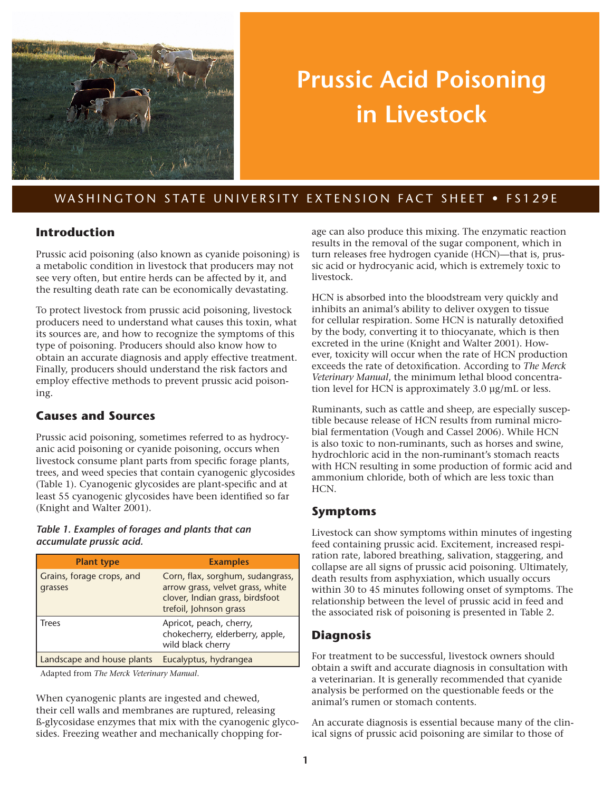

# **Prussic Acid Poisoning in Livestock**

# WASHINGTON STATE UNIVERSITY EXTENSION FACT SHEET . FS129E

#### **Introduction**

Prussic acid poisoning (also known as cyanide poisoning) is a metabolic condition in livestock that producers may not see very often, but entire herds can be affected by it, and the resulting death rate can be economically devastating.

To protect livestock from prussic acid poisoning, livestock producers need to understand what causes this toxin, what its sources are, and how to recognize the symptoms of this type of poisoning. Producers should also know how to obtain an accurate diagnosis and apply effective treatment. Finally, producers should understand the risk factors and employ effective methods to prevent prussic acid poisoning.

#### **Causes and Sources**

Prussic acid poisoning, sometimes referred to as hydrocyanic acid poisoning or cyanide poisoning, occurs when livestock consume plant parts from specific forage plants, trees, and weed species that contain cyanogenic glycosides (Table 1). Cyanogenic glycosides are plant-specific and at least 55 cyanogenic glycosides have been identified so far (Knight and Walter 2001).

#### *Table 1. Examples of forages and plants that can accumulate prussic acid.*

| <b>Plant type</b>                    | <b>Examples</b>                                                                                                                   |
|--------------------------------------|-----------------------------------------------------------------------------------------------------------------------------------|
| Grains, forage crops, and<br>grasses | Corn, flax, sorghum, sudangrass,<br>arrow grass, velvet grass, white<br>clover, Indian grass, birdsfoot<br>trefoil, Johnson grass |
| Trees                                | Apricot, peach, cherry,<br>chokecherry, elderberry, apple,<br>wild black cherry                                                   |
| Landscape and house plants           | Eucalyptus, hydrangea                                                                                                             |

Adapted from *The Merck Veterinary Manual*.

When cyanogenic plants are ingested and chewed, their cell walls and membranes are ruptured, releasing ß-glycosidase enzymes that mix with the cyanogenic glycosides. Freezing weather and mechanically chopping forage can also produce this mixing. The enzymatic reaction results in the removal of the sugar component, which in turn releases free hydrogen cyanide (HCN)—that is, prussic acid or hydrocyanic acid, which is extremely toxic to livestock.

HCN is absorbed into the bloodstream very quickly and inhibits an animal's ability to deliver oxygen to tissue for cellular respiration. Some HCN is naturally detoxified by the body, converting it to thiocyanate, which is then excreted in the urine (Knight and Walter 2001). However, toxicity will occur when the rate of HCN production exceeds the rate of detoxification. According to *The Merck Veterinary Manual*, the minimum lethal blood concentration level for HCN is approximately 3.0 µg/mL or less.

Ruminants, such as cattle and sheep, are especially susceptible because release of HCN results from ruminal microbial fermentation (Vough and Cassel 2006). While HCN is also toxic to non-ruminants, such as horses and swine, hydrochloric acid in the non-ruminant's stomach reacts with HCN resulting in some production of formic acid and ammonium chloride, both of which are less toxic than HCN.

#### **Symptoms**

Livestock can show symptoms within minutes of ingesting feed containing prussic acid. Excitement, increased respiration rate, labored breathing, salivation, staggering, and collapse are all signs of prussic acid poisoning. Ultimately, death results from asphyxiation, which usually occurs within 30 to 45 minutes following onset of symptoms. The relationship between the level of prussic acid in feed and the associated risk of poisoning is presented in Table 2.

# **Diagnosis**

For treatment to be successful, livestock owners should obtain a swift and accurate diagnosis in consultation with a veterinarian. It is generally recommended that cyanide analysis be performed on the questionable feeds or the animal's rumen or stomach contents.

An accurate diagnosis is essential because many of the clinical signs of prussic acid poisoning are similar to those of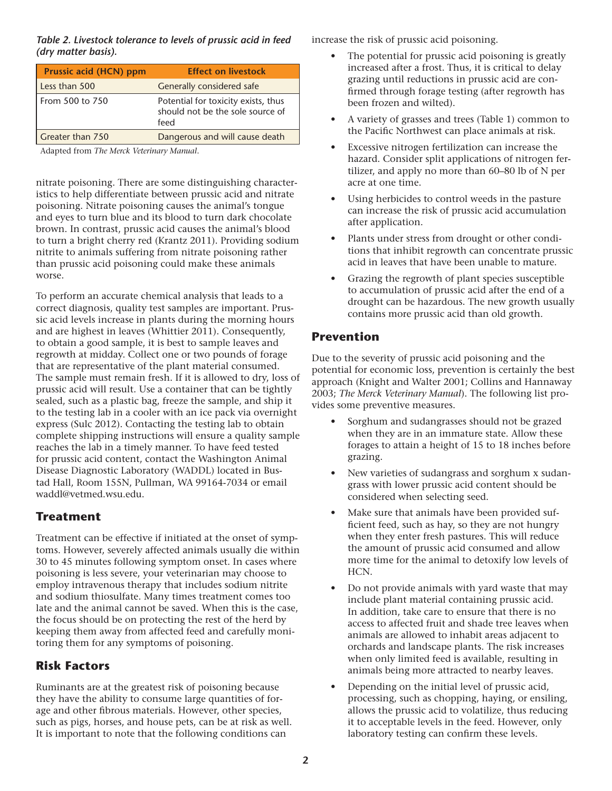*Table 2. Livestock tolerance to levels of prussic acid in feed (dry matter basis).*

| Prussic acid (HCN) ppm | <b>Effect on livestock</b>                                                      |
|------------------------|---------------------------------------------------------------------------------|
| Less than 500          | Generally considered safe                                                       |
| From 500 to 750        | Potential for toxicity exists, thus<br>should not be the sole source of<br>feed |
| Greater than 750       | Dangerous and will cause death                                                  |

Adapted from *The Merck Veterinary Manual*.

nitrate poisoning. There are some distinguishing characteristics to help differentiate between prussic acid and nitrate poisoning. Nitrate poisoning causes the animal's tongue and eyes to turn blue and its blood to turn dark chocolate brown. In contrast, prussic acid causes the animal's blood to turn a bright cherry red (Krantz 2011). Providing sodium nitrite to animals suffering from nitrate poisoning rather than prussic acid poisoning could make these animals worse.

To perform an accurate chemical analysis that leads to a correct diagnosis, quality test samples are important. Prussic acid levels increase in plants during the morning hours and are highest in leaves (Whittier 2011). Consequently, to obtain a good sample, it is best to sample leaves and regrowth at midday. Collect one or two pounds of forage that are representative of the plant material consumed. The sample must remain fresh. If it is allowed to dry, loss of prussic acid will result. Use a container that can be tightly sealed, such as a plastic bag, freeze the sample, and ship it to the testing lab in a cooler with an ice pack via overnight express (Sulc 2012). Contacting the testing lab to obtain complete shipping instructions will ensure a quality sample reaches the lab in a timely manner. To have feed tested for prussic acid content, contact the Washington Animal Disease Diagnostic Laboratory (WADDL) located in Bustad Hall, Room 155N, Pullman, WA 99164-7034 or email [waddl@vetmed.wsu.edu.](mailto:waddl%40vetmed.wsu.edu?subject=)

#### **Treatment**

Treatment can be effective if initiated at the onset of symptoms. However, severely affected animals usually die within 30 to 45 minutes following symptom onset. In cases where poisoning is less severe, your veterinarian may choose to employ intravenous therapy that includes sodium nitrite and sodium thiosulfate. Many times treatment comes too late and the animal cannot be saved. When this is the case, the focus should be on protecting the rest of the herd by keeping them away from affected feed and carefully monitoring them for any symptoms of poisoning.

# **Risk Factors**

Ruminants are at the greatest risk of poisoning because they have the ability to consume large quantities of forage and other fibrous materials. However, other species, such as pigs, horses, and house pets, can be at risk as well. It is important to note that the following conditions can

increase the risk of prussic acid poisoning.

- The potential for prussic acid poisoning is greatly increased after a frost. Thus, it is critical to delay grazing until reductions in prussic acid are confirmed through forage testing (after regrowth has been frozen and wilted).
- A variety of grasses and trees (Table 1) common to the Pacific Northwest can place animals at risk.
- Excessive nitrogen fertilization can increase the hazard. Consider split applications of nitrogen fertilizer, and apply no more than 60–80 lb of N per acre at one time.
- Using herbicides to control weeds in the pasture can increase the risk of prussic acid accumulation after application.
- Plants under stress from drought or other conditions that inhibit regrowth can concentrate prussic acid in leaves that have been unable to mature.
- Grazing the regrowth of plant species susceptible to accumulation of prussic acid after the end of a drought can be hazardous. The new growth usually contains more prussic acid than old growth.

# **Prevention**

Due to the severity of prussic acid poisoning and the potential for economic loss, prevention is certainly the best approach (Knight and Walter 2001; Collins and Hannaway 2003; *The Merck Veterinary Manual*). The following list provides some preventive measures.

- Sorghum and sudangrasses should not be grazed when they are in an immature state. Allow these forages to attain a height of 15 to 18 inches before grazing.
- New varieties of sudangrass and sorghum x sudangrass with lower prussic acid content should be considered when selecting seed.
- Make sure that animals have been provided sufficient feed, such as hay, so they are not hungry when they enter fresh pastures. This will reduce the amount of prussic acid consumed and allow more time for the animal to detoxify low levels of HCN.
- Do not provide animals with yard waste that may include plant material containing prussic acid. In addition, take care to ensure that there is no access to affected fruit and shade tree leaves when animals are allowed to inhabit areas adjacent to orchards and landscape plants. The risk increases when only limited feed is available, resulting in animals being more attracted to nearby leaves.
- Depending on the initial level of prussic acid, processing, such as chopping, haying, or ensiling, allows the prussic acid to volatilize, thus reducing it to acceptable levels in the feed. However, only laboratory testing can confirm these levels.